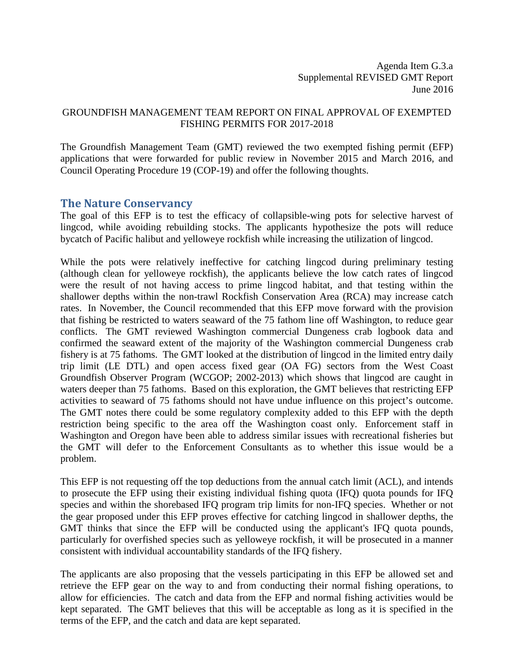Agenda Item G.3.a Supplemental REVISED GMT Report June 2016

#### GROUNDFISH MANAGEMENT TEAM REPORT ON FINAL APPROVAL OF EXEMPTED FISHING PERMITS FOR 2017-2018

The Groundfish Management Team (GMT) reviewed the two exempted fishing permit (EFP) applications that were forwarded for public review in November 2015 and March 2016, and Council Operating Procedure 19 (COP-19) and offer the following thoughts.

### **The Nature Conservancy**

The goal of this EFP is to test the efficacy of collapsible-wing pots for selective harvest of lingcod, while avoiding rebuilding stocks. The applicants hypothesize the pots will reduce bycatch of Pacific halibut and yelloweye rockfish while increasing the utilization of lingcod.

While the pots were relatively ineffective for catching lingcod during preliminary testing (although clean for yelloweye rockfish), the applicants believe the low catch rates of lingcod were the result of not having access to prime lingcod habitat, and that testing within the shallower depths within the non-trawl Rockfish Conservation Area (RCA) may increase catch rates. In November, the Council recommended that this EFP move forward with the provision that fishing be restricted to waters seaward of the 75 fathom line off Washington, to reduce gear conflicts. The GMT reviewed Washington commercial Dungeness crab logbook data and confirmed the seaward extent of the majority of the Washington commercial Dungeness crab fishery is at 75 fathoms. The GMT looked at the distribution of lingcod in the limited entry daily trip limit (LE DTL) and open access fixed gear (OA FG) sectors from the West Coast Groundfish Observer Program (WCGOP; 2002-2013) which shows that lingcod are caught in waters deeper than 75 fathoms. Based on this exploration, the GMT believes that restricting EFP activities to seaward of 75 fathoms should not have undue influence on this project's outcome. The GMT notes there could be some regulatory complexity added to this EFP with the depth restriction being specific to the area off the Washington coast only. Enforcement staff in Washington and Oregon have been able to address similar issues with recreational fisheries but the GMT will defer to the Enforcement Consultants as to whether this issue would be a problem.

This EFP is not requesting off the top deductions from the annual catch limit (ACL), and intends to prosecute the EFP using their existing individual fishing quota (IFQ) quota pounds for IFQ species and within the shorebased IFQ program trip limits for non-IFQ species. Whether or not the gear proposed under this EFP proves effective for catching lingcod in shallower depths, the GMT thinks that since the EFP will be conducted using the applicant's IFQ quota pounds, particularly for overfished species such as yelloweye rockfish, it will be prosecuted in a manner consistent with individual accountability standards of the IFQ fishery.

The applicants are also proposing that the vessels participating in this EFP be allowed set and retrieve the EFP gear on the way to and from conducting their normal fishing operations, to allow for efficiencies. The catch and data from the EFP and normal fishing activities would be kept separated. The GMT believes that this will be acceptable as long as it is specified in the terms of the EFP, and the catch and data are kept separated.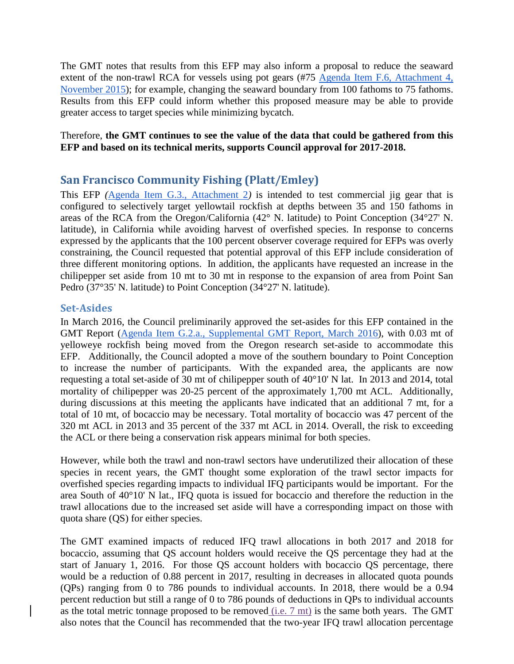The GMT notes that results from this EFP may also inform a proposal to reduce the seaward extent of the non-trawl RCA for vessels using pot gears  $($ #75  $\overline{Agenda}$  Item F.6, Attachment 4, [November 2015\)](http://www.pcouncil.org/wp-content/uploads/2015/10/F6_Att4_GFworkload_NOV2015BB.pdf); for example, changing the seaward boundary from 100 fathoms to 75 fathoms. Results from this EFP could inform whether this proposed measure may be able to provide greater access to target species while minimizing bycatch.

#### Therefore, **the GMT continues to see the value of the data that could be gathered from this EFP and based on its technical merits, supports Council approval for 2017-2018.**

# **San Francisco Community Fishing (Platt/Emley)**

This EFP *(*[Agenda Item G.3., Attachment 2](http://www.pcouncil.org/wp-content/uploads/2016/06/G3_Att2_Platt-SFCFA_FINAL_EFP_Proposal_JUN2016BB.pdf)*)* is intended to test commercial jig gear that is configured to selectively target yellowtail rockfish at depths between 35 and 150 fathoms in areas of the RCA from the Oregon/California (42° N. latitude) to Point Conception (34°27' N. latitude), in California while avoiding harvest of overfished species. In response to concerns expressed by the applicants that the 100 percent observer coverage required for EFPs was overly constraining, the Council requested that potential approval of this EFP include consideration of three different monitoring options. In addition, the applicants have requested an increase in the chilipepper set aside from 10 mt to 30 mt in response to the expansion of area from Point San Pedro (37°35' N. latitude) to Point Conception (34°27' N. latitude).

### **Set-Asides**

In March 2016, the Council preliminarily approved the set-asides for this EFP contained in the GMT Report [\(Agenda Item G.2.a., Supplemental GMT Report, March 2016\)](http://www.pcouncil.org/wp-content/uploads/2016/03/G2a_Sup_GMT_Rpt_MAR2016.pdf), with 0.03 mt of yelloweye rockfish being moved from the Oregon research set-aside to accommodate this EFP. Additionally, the Council adopted a move of the southern boundary to Point Conception to increase the number of participants. With the expanded area, the applicants are now requesting a total set-aside of 30 mt of chilipepper south of 40°10' N lat. In 2013 and 2014, total mortality of chilipepper was 20-25 percent of the approximately 1,700 mt ACL. Additionally, during discussions at this meeting the applicants have indicated that an additional 7 mt, for a total of 10 mt, of bocaccio may be necessary. Total mortality of bocaccio was 47 percent of the 320 mt ACL in 2013 and 35 percent of the 337 mt ACL in 2014. Overall, the risk to exceeding the ACL or there being a conservation risk appears minimal for both species.

However, while both the trawl and non-trawl sectors have underutilized their allocation of these species in recent years, the GMT thought some exploration of the trawl sector impacts for overfished species regarding impacts to individual IFQ participants would be important. For the area South of 40°10' N lat., IFQ quota is issued for bocaccio and therefore the reduction in the trawl allocations due to the increased set aside will have a corresponding impact on those with quota share (QS) for either species.

The GMT examined impacts of reduced IFQ trawl allocations in both 2017 and 2018 for bocaccio, assuming that QS account holders would receive the QS percentage they had at the start of January 1, 2016. For those QS account holders with bocaccio QS percentage, there would be a reduction of 0.88 percent in 2017, resulting in decreases in allocated quota pounds (QPs) ranging from 0 to 786 pounds to individual accounts. In 2018, there would be a 0.94 percent reduction but still a range of 0 to 786 pounds of deductions in QPs to individual accounts as the total metric tonnage proposed to be removed  $(i.e. 7 \text{ mt})$  is the same both years. The GMT also notes that the Council has recommended that the two-year IFQ trawl allocation percentage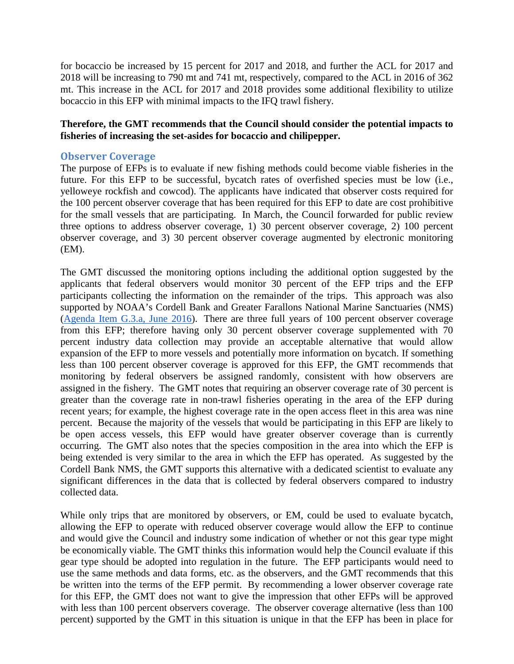for bocaccio be increased by 15 percent for 2017 and 2018, and further the ACL for 2017 and 2018 will be increasing to 790 mt and 741 mt, respectively, compared to the ACL in 2016 of 362 mt. This increase in the ACL for 2017 and 2018 provides some additional flexibility to utilize bocaccio in this EFP with minimal impacts to the IFQ trawl fishery.

#### **Therefore, the GMT recommends that the Council should consider the potential impacts to fisheries of increasing the set-asides for bocaccio and chilipepper.**

#### **Observer Coverage**

The purpose of EFPs is to evaluate if new fishing methods could become viable fisheries in the future. For this EFP to be successful, bycatch rates of overfished species must be low (i.e., yelloweye rockfish and cowcod). The applicants have indicated that observer costs required for the 100 percent observer coverage that has been required for this EFP to date are cost prohibitive for the small vessels that are participating. In March, the Council forwarded for public review three options to address observer coverage, 1) 30 percent observer coverage, 2) 100 percent observer coverage, and 3) 30 percent observer coverage augmented by electronic monitoring (EM).

The GMT discussed the monitoring options including the additional option suggested by the applicants that federal observers would monitor 30 percent of the EFP trips and the EFP participants collecting the information on the remainder of the trips. This approach was also supported by NOAA's Cordell Bank and Greater Farallons National Marine Sanctuaries (NMS) [\(Agenda Item G.3.a, June 2016\)](http://www.pcouncil.org/wp-content/uploads/2016/06/G3a_NMS_EFPletterMay2016_JUN2016BB.pdf). There are three full years of 100 percent observer coverage from this EFP; therefore having only 30 percent observer coverage supplemented with 70 percent industry data collection may provide an acceptable alternative that would allow expansion of the EFP to more vessels and potentially more information on bycatch. If something less than 100 percent observer coverage is approved for this EFP, the GMT recommends that monitoring by federal observers be assigned randomly, consistent with how observers are assigned in the fishery. The GMT notes that requiring an observer coverage rate of 30 percent is greater than the coverage rate in non-trawl fisheries operating in the area of the EFP during recent years; for example, the highest coverage rate in the open access fleet in this area was nine percent. Because the majority of the vessels that would be participating in this EFP are likely to be open access vessels, this EFP would have greater observer coverage than is currently occurring. The GMT also notes that the species composition in the area into which the EFP is being extended is very similar to the area in which the EFP has operated. As suggested by the Cordell Bank NMS, the GMT supports this alternative with a dedicated scientist to evaluate any significant differences in the data that is collected by federal observers compared to industry collected data.

While only trips that are monitored by observers, or EM, could be used to evaluate bycatch, allowing the EFP to operate with reduced observer coverage would allow the EFP to continue and would give the Council and industry some indication of whether or not this gear type might be economically viable. The GMT thinks this information would help the Council evaluate if this gear type should be adopted into regulation in the future. The EFP participants would need to use the same methods and data forms, etc. as the observers, and the GMT recommends that this be written into the terms of the EFP permit. By recommending a lower observer coverage rate for this EFP, the GMT does not want to give the impression that other EFPs will be approved with less than 100 percent observers coverage. The observer coverage alternative (less than 100 percent) supported by the GMT in this situation is unique in that the EFP has been in place for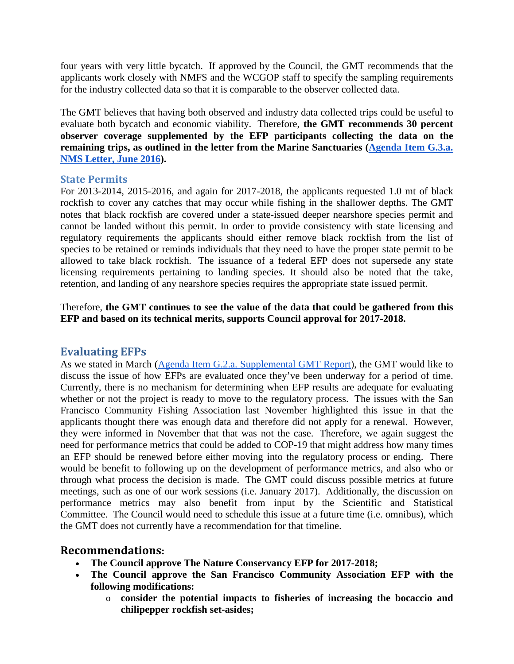four years with very little bycatch. If approved by the Council, the GMT recommends that the applicants work closely with NMFS and the WCGOP staff to specify the sampling requirements for the industry collected data so that it is comparable to the observer collected data.

The GMT believes that having both observed and industry data collected trips could be useful to evaluate both bycatch and economic viability. Therefore, **the GMT recommends 30 percent observer coverage supplemented by the EFP participants collecting the data on the remaining trips, as outlined in the letter from the Marine Sanctuaries [\(Agenda Item G.3.a.](http://www.pcouncil.org/wp-content/uploads/2016/06/G3a_NMS_EFPletterMay2016_JUN2016BB.pdf)  [NMS Letter,](http://www.pcouncil.org/wp-content/uploads/2016/06/G3a_NMS_EFPletterMay2016_JUN2016BB.pdf) June 2016).** 

#### **State Permits**

For 2013-2014, 2015-2016, and again for 2017-2018, the applicants requested 1.0 mt of black rockfish to cover any catches that may occur while fishing in the shallower depths. The GMT notes that black rockfish are covered under a state-issued deeper nearshore species permit and cannot be landed without this permit. In order to provide consistency with state licensing and regulatory requirements the applicants should either remove black rockfish from the list of species to be retained or reminds individuals that they need to have the proper state permit to be allowed to take black rockfish. The issuance of a federal EFP does not supersede any state licensing requirements pertaining to landing species. It should also be noted that the take, retention, and landing of any nearshore species requires the appropriate state issued permit.

Therefore, **the GMT continues to see the value of the data that could be gathered from this EFP and based on its technical merits, supports Council approval for 2017-2018.**

# **Evaluating EFPs**

As we stated in March [\(Agenda Item G.2.a. Supplemental GMT Report\)](http://www.pcouncil.org/wp-content/uploads/2016/03/G2a_Sup_GMT_Rpt_MAR2016.pdf), the GMT would like to discuss the issue of how EFPs are evaluated once they've been underway for a period of time. Currently, there is no mechanism for determining when EFP results are adequate for evaluating whether or not the project is ready to move to the regulatory process. The issues with the San Francisco Community Fishing Association last November highlighted this issue in that the applicants thought there was enough data and therefore did not apply for a renewal. However, they were informed in November that that was not the case. Therefore, we again suggest the need for performance metrics that could be added to COP-19 that might address how many times an EFP should be renewed before either moving into the regulatory process or ending. There would be benefit to following up on the development of performance metrics, and also who or through what process the decision is made. The GMT could discuss possible metrics at future meetings, such as one of our work sessions (i.e. January 2017). Additionally, the discussion on performance metrics may also benefit from input by the Scientific and Statistical Committee. The Council would need to schedule this issue at a future time (i.e. omnibus), which the GMT does not currently have a recommendation for that timeline.

# **Recommendations:**

- **The Council approve The Nature Conservancy EFP for 2017-2018;**
- **The Council approve the San Francisco Community Association EFP with the following modifications:**
	- o **consider the potential impacts to fisheries of increasing the bocaccio and chilipepper rockfish set-asides;**